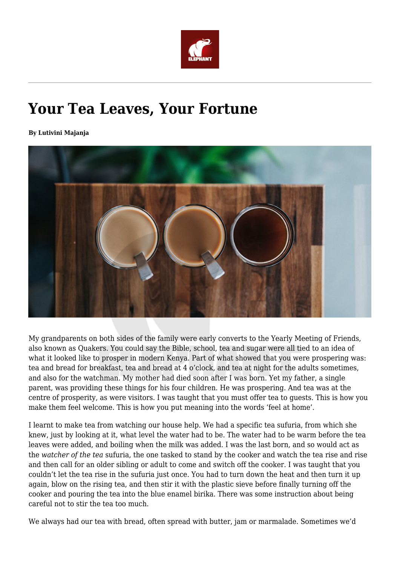

# **Your Tea Leaves, Your Fortune**

**By Lutivini Majanja**



My grandparents on both sides of the family were early converts to the Yearly Meeting of Friends, also known as Quakers. You could say the Bible, school, tea and sugar were all tied to an idea of what it looked like to prosper in modern Kenya. Part of what showed that you were prospering was: tea and bread for breakfast, tea and bread at 4 o'clock, and tea at night for the adults sometimes, and also for the watchman. My mother had died soon after I was born. Yet my father, a single parent, was providing these things for his four children. He was prospering. And tea was at the centre of prosperity, as were visitors. I was taught that you must offer tea to guests. This is how you make them feel welcome. This is how you put meaning into the words 'feel at home'.

I learnt to make tea from watching our house help. We had a specific tea sufuria, from which she knew, just by looking at it, what level the water had to be. The water had to be warm before the tea leaves were added, and boiling when the milk was added. I was the last born, and so would act as the *watcher of the tea* sufuria, the one tasked to stand by the cooker and watch the tea rise and rise and then call for an older sibling or adult to come and switch off the cooker. I was taught that you couldn't let the tea rise in the sufuria just once. You had to turn down the heat and then turn it up again, blow on the rising tea, and then stir it with the plastic sieve before finally turning off the cooker and pouring the tea into the blue enamel birika. There was some instruction about being careful not to stir the tea too much.

We always had our tea with bread, often spread with butter, jam or marmalade. Sometimes we'd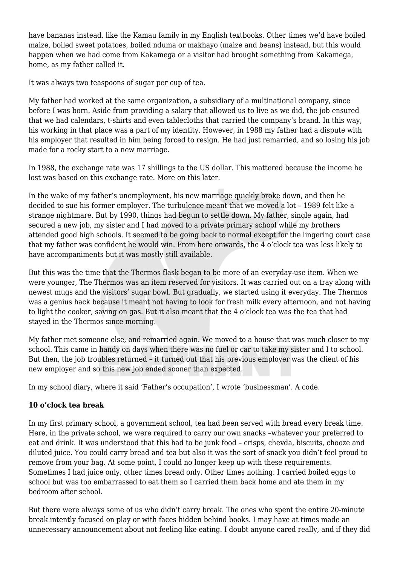have bananas instead, like the Kamau family in my English textbooks. Other times we'd have boiled maize, boiled sweet potatoes, boiled nduma or makhayo (maize and beans) instead, but this would happen when we had come from Kakamega or a visitor had brought something from Kakamega, home, as my father called it.

It was always two teaspoons of sugar per cup of tea.

My father had worked at the same organization, a subsidiary of a multinational company, since before I was born. Aside from providing a salary that allowed us to live as we did, the job ensured that we had calendars, t-shirts and even tablecloths that carried the company's brand. In this way, his working in that place was a part of my identity. However, in 1988 my father had a dispute with his employer that resulted in him being forced to resign. He had just remarried, and so losing his job made for a rocky start to a new marriage.

In 1988, the exchange rate was 17 shillings to the US dollar. This mattered because the income he lost was based on this exchange rate. More on this later.

In the wake of my father's unemployment, his new marriage quickly broke down, and then he decided to sue his former employer. The turbulence meant that we moved a lot – 1989 felt like a strange nightmare. But by 1990, things had begun to settle down. My father, single again, had secured a new job, my sister and I had moved to a private primary school while my brothers attended good high schools. It seemed to be going back to normal except for the lingering court case that my father was confident he would win. From here onwards, the 4 o'clock tea was less likely to have accompaniments but it was mostly still available.

But this was the time that the Thermos flask began to be more of an everyday-use item. When we were younger, The Thermos was an item reserved for visitors. It was carried out on a tray along with newest mugs and the visitors' sugar bowl. But gradually, we started using it everyday. The Thermos was a genius hack because it meant not having to look for fresh milk every afternoon, and not having to light the cooker, saving on gas. But it also meant that the 4 o'clock tea was the tea that had stayed in the Thermos since morning.

My father met someone else, and remarried again. We moved to a house that was much closer to my school. This came in handy on days when there was no fuel or car to take my sister and I to school. But then, the job troubles returned – it turned out that his previous employer was the client of his new employer and so this new job ended sooner than expected.

In my school diary, where it said 'Father's occupation', I wrote 'businessman'. A code.

# **10 o'clock tea break**

In my first primary school, a government school, tea had been served with bread every break time. Here, in the private school, we were required to carry our own snacks –whatever your preferred to eat and drink. It was understood that this had to be junk food – crisps, chevda, biscuits, chooze and diluted juice. You could carry bread and tea but also it was the sort of snack you didn't feel proud to remove from your bag. At some point, I could no longer keep up with these requirements. Sometimes I had juice only, other times bread only. Other times nothing. I carried boiled eggs to school but was too embarrassed to eat them so I carried them back home and ate them in my bedroom after school.

But there were always some of us who didn't carry break. The ones who spent the entire 20-minute break intently focused on play or with faces hidden behind books. I may have at times made an unnecessary announcement about not feeling like eating. I doubt anyone cared really, and if they did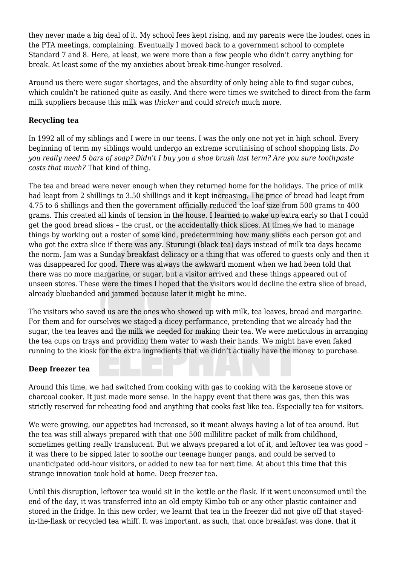they never made a big deal of it. My school fees kept rising, and my parents were the loudest ones in the PTA meetings, complaining. Eventually I moved back to a government school to complete Standard 7 and 8. Here, at least, we were more than a few people who didn't carry anything for break. At least some of the my anxieties about break-time-hunger resolved.

Around us there were sugar shortages, and the absurdity of only being able to find sugar cubes, which couldn't be rationed quite as easily. And there were times we switched to direct-from-the-farm milk suppliers because this milk was *thicker* and could *stretch* much more.

# **Recycling tea**

In 1992 all of my siblings and I were in our teens. I was the only one not yet in high school. Every beginning of term my siblings would undergo an extreme scrutinising of school shopping lists. *Do you really need 5 bars of soap? Didn't I buy you a shoe brush last term? Are you sure toothpaste costs that much?* That kind of thing.

The tea and bread were never enough when they returned home for the holidays. The price of milk had leapt from 2 shillings to 3.50 shillings and it kept increasing. The price of bread had leapt from 4.75 to 6 shillings and then the government officially reduced the loaf size from 500 grams to 400 grams. This created all kinds of tension in the house. I learned to wake up extra early so that I could get the good bread slices – the crust, or the accidentally thick slices. At times we had to manage things by working out a roster of some kind, predetermining how many slices each person got and who got the extra slice if there was any. Sturungi (black tea) days instead of milk tea days became the norm. Jam was a Sunday breakfast delicacy or a thing that was offered to guests only and then it was disappeared for good. There was always the awkward moment when we had been told that there was no more margarine, or sugar, but a visitor arrived and these things appeared out of unseen stores. These were the times I hoped that the visitors would decline the extra slice of bread, already bluebanded and jammed because later it might be mine.

The visitors who saved us are the ones who showed up with milk, tea leaves, bread and margarine. For them and for ourselves we staged a dicey performance, pretending that we already had the sugar, the tea leaves and the milk we needed for making their tea. We were meticulous in arranging the tea cups on trays and providing them water to wash their hands. We might have even faked running to the kiosk for the extra ingredients that we didn't actually have the money to purchase.

# **Deep freezer tea**

Around this time, we had switched from cooking with gas to cooking with the kerosene stove or charcoal cooker. It just made more sense. In the happy event that there was gas, then this was strictly reserved for reheating food and anything that cooks fast like tea. Especially tea for visitors.

We were growing, our appetites had increased, so it meant always having a lot of tea around. But the tea was still always prepared with that one 500 millilitre packet of milk from childhood, sometimes getting really translucent. But we always prepared a lot of it, and leftover tea was good – it was there to be sipped later to soothe our teenage hunger pangs, and could be served to unanticipated odd-hour visitors, or added to new tea for next time. At about this time that this strange innovation took hold at home. Deep freezer tea.

Until this disruption, leftover tea would sit in the kettle or the flask. If it went unconsumed until the end of the day, it was transferred into an old empty Kimbo tub or any other plastic container and stored in the fridge. In this new order, we learnt that tea in the freezer did not give off that stayedin-the-flask or recycled tea whiff. It was important, as such, that once breakfast was done, that it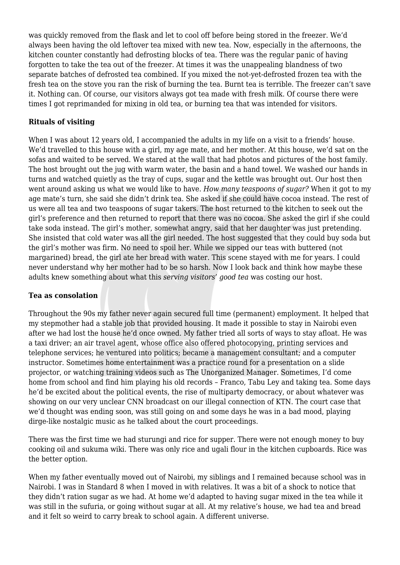was quickly removed from the flask and let to cool off before being stored in the freezer. We'd always been having the old leftover tea mixed with new tea. Now, especially in the afternoons, the kitchen counter constantly had defrosting blocks of tea. There was the regular panic of having forgotten to take the tea out of the freezer. At times it was the unappealing blandness of two separate batches of defrosted tea combined. If you mixed the not-yet-defrosted frozen tea with the fresh tea on the stove you ran the risk of burning the tea. Burnt tea is terrible. The freezer can't save it. Nothing can. Of course, our visitors always got tea made with fresh milk. Of course there were times I got reprimanded for mixing in old tea, or burning tea that was intended for visitors.

## **Rituals of visiting**

When I was about 12 years old, I accompanied the adults in my life on a visit to a friends' house. We'd travelled to this house with a girl, my age mate, and her mother. At this house, we'd sat on the sofas and waited to be served. We stared at the wall that had photos and pictures of the host family. The host brought out the jug with warm water, the basin and a hand towel. We washed our hands in turns and watched quietly as the tray of cups, sugar and the kettle was brought out. Our host then went around asking us what we would like to have. *How many teaspoons of sugar?* When it got to my age mate's turn, she said she didn't drink tea. She asked if she could have cocoa instead. The rest of us were all tea and two teaspoons of sugar takers. The host returned to the kitchen to seek out the girl's preference and then returned to report that there was no cocoa. She asked the girl if she could take soda instead. The girl's mother, somewhat angry, said that her daughter was just pretending. She insisted that cold water was all the girl needed. The host suggested that they could buy soda but the girl's mother was firm. No need to spoil her. While we sipped our teas with buttered (not margarined) bread, the girl ate her bread with water. This scene stayed with me for years. I could never understand why her mother had to be so harsh. Now I look back and think how maybe these adults knew something about what this *serving visitors' good tea* was costing our host.

### **Tea as consolation**

Throughout the 90s my father never again secured full time (permanent) employment. It helped that my stepmother had a stable job that provided housing. It made it possible to stay in Nairobi even after we had lost the house he'd once owned. My father tried all sorts of ways to stay afloat. He was a taxi driver; an air travel agent, whose office also offered photocopying, printing services and telephone services; he ventured into politics; became a management consultant; and a computer instructor. Sometimes home entertainment was a practice round for a presentation on a slide projector, or watching training videos such as The Unorganized Manager. Sometimes, I'd come home from school and find him playing his old records – Franco, Tabu Ley and taking tea. Some days he'd be excited about the political events, the rise of multiparty democracy, or about whatever was showing on our very unclear CNN broadcast on our illegal connection of KTN. The court case that we'd thought was ending soon, was still going on and some days he was in a bad mood, playing dirge-like nostalgic music as he talked about the court proceedings.

There was the first time we had sturungi and rice for supper. There were not enough money to buy cooking oil and sukuma wiki. There was only rice and ugali flour in the kitchen cupboards. Rice was the better option.

When my father eventually moved out of Nairobi, my siblings and I remained because school was in Nairobi. I was in Standard 8 when I moved in with relatives. It was a bit of a shock to notice that they didn't ration sugar as we had. At home we'd adapted to having sugar mixed in the tea while it was still in the sufuria, or going without sugar at all. At my relative's house, we had tea and bread and it felt so weird to carry break to school again. A different universe.